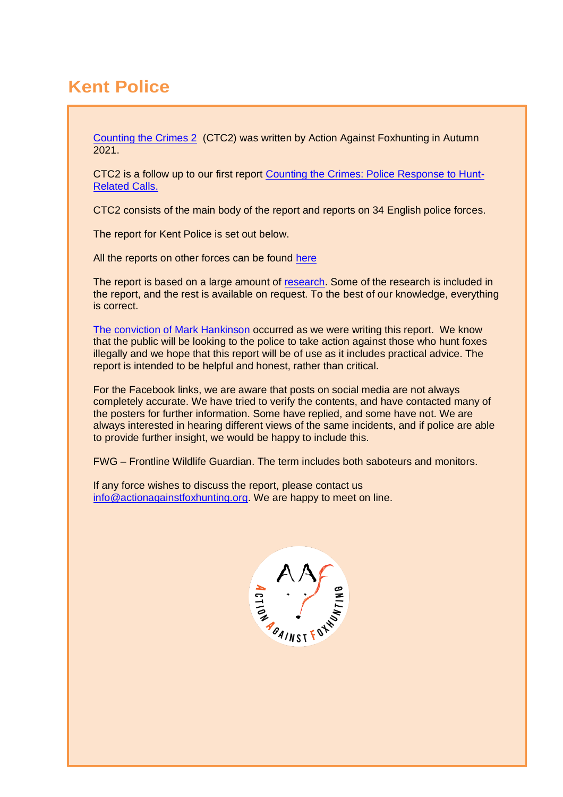# **Kent Police**

[Counting the Crimes 2](https://www.actionagainstfoxhunting.org/counting-the-crimes2-the-police-response/) (CTC2) was written by Action Against Foxhunting in Autumn 2021.

CTC2 is a follow up to our first report [Counting the Crimes: Police Response to Hunt-](https://www.actionagainstfoxhunting.org/counting-the-crimes/)[Related Calls.](https://www.actionagainstfoxhunting.org/counting-the-crimes/)

CTC2 consists of the main body of the report and reports on 34 English police forces.

The report for Kent Police is set out below.

All the reports on other forces can be found [here](https://www.actionagainstfoxhunting.org/counting-the-crimes2-the-police-response/)

The report is based on a large amount of [research.](https://www.actionagainstfoxhunting.org/wp-content/uploads/2021/11/A-1411-Research-for-CTC2.pdf) Some of the research is included in the report, and the rest is available on request. To the best of our knowledge, everything is correct.

[The conviction of Mark Hankinson](https://www.league.org.uk/news-and-resources/news/hunting-office-webinars-the-road-to-conviction/) occurred as we were writing this report. We know that the public will be looking to the police to take action against those who hunt foxes illegally and we hope that this report will be of use as it includes practical advice. The report is intended to be helpful and honest, rather than critical.

For the Facebook links, we are aware that posts on social media are not always completely accurate. We have tried to verify the contents, and have contacted many of the posters for further information. Some have replied, and some have not. We are always interested in hearing different views of the same incidents, and if police are able to provide further insight, we would be happy to include this.

FWG – Frontline Wildlife Guardian. The term includes both saboteurs and monitors.

If any force wishes to discuss the report, please contact us [info@actionagainstfoxhunting.org.](mailto:info@actionagainstfoxhunting.org) We are happy to meet on line.

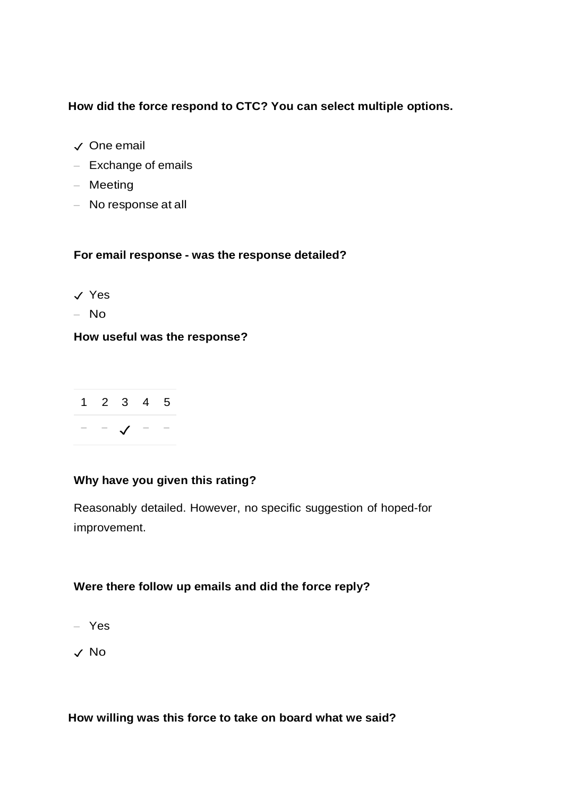# **How did the force respond to CTC? You can select multiple options.**

- ✓ One email
- Exchange of emails
- Meeting
- No response at all

# **For email response - was the response detailed?**

- ✓ Yes
- No

# **How useful was the response?**

|  | $1\quad 2\quad 3\quad 4\quad 5$ |  |
|--|---------------------------------|--|
|  | $ \sqrt{2}$ $ -$                |  |

# **Why have you given this rating?**

Reasonably detailed. However, no specific suggestion of hoped-for improvement.

# **Were there follow up emails and did the force reply?**

- Yes
- ✓ No

**How willing was this force to take on board what we said?**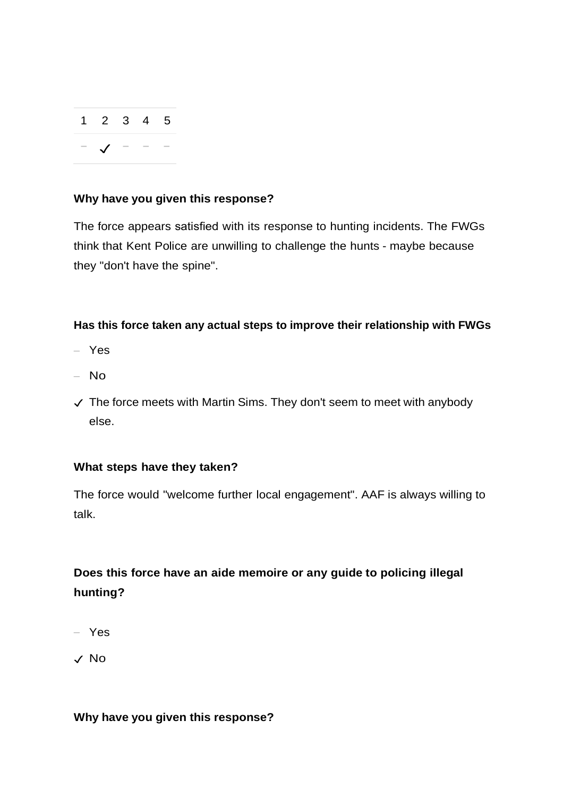| $1\quad 2\quad 3\quad 4\quad 5$ |  |  |
|---------------------------------|--|--|
| $ \sqrt{}$ $  \sqrt{}$          |  |  |

# **Why have you given this response?**

The force appears satisfied with its response to hunting incidents. The FWGs think that Kent Police are unwilling to challenge the hunts - maybe because they "don't have the spine".

# **Has this force taken any actual steps to improve their relationship with FWGs**

- Yes
- No
- ✓ The force meets with Martin Sims. They don't seem to meet with anybody else.

# **What steps have they taken?**

The force would "welcome further local engagement". AAF is always willing to talk.

# **Does this force have an aide memoire or any guide to policing illegal hunting?**

– Yes

✓ No

# **Why have you given this response?**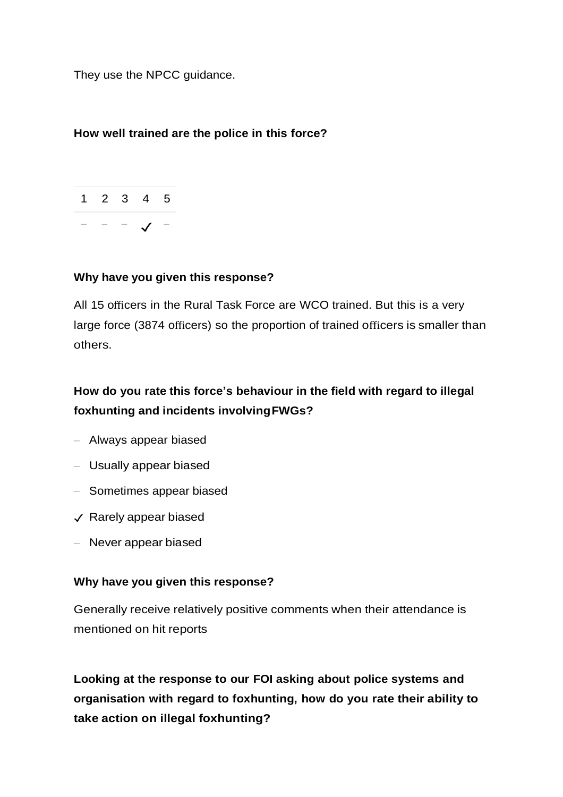They use the NPCC guidance.

# **How well trained are the police in this force?**



#### **Why have you given this response?**

All 15 officers in the Rural Task Force are WCO trained. But this is a very large force (3874 officers) so the proportion of trained officers is smaller than others.

# **How do you rate this force's behaviour in the field with regard to illegal foxhunting and incidents involvingFWGs?**

- Always appear biased
- Usually appear biased
- Sometimes appear biased
- $\checkmark$  Rarely appear biased
- Never appear biased

#### **Why have you given this response?**

Generally receive relatively positive comments when their attendance is mentioned on hit reports

**Looking at the response to our FOI asking about police systems and organisation with regard to foxhunting, how do you rate their ability to take action on illegal foxhunting?**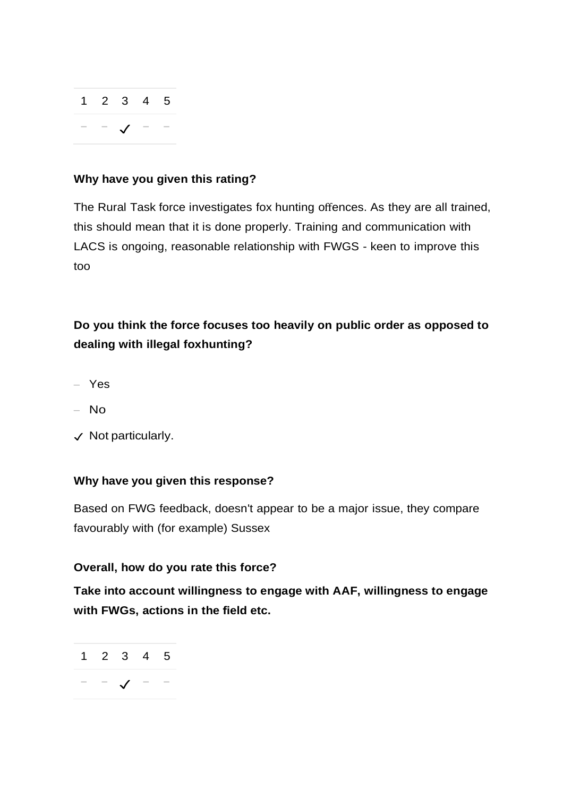

#### **Why have you given this rating?**

The Rural Task force investigates fox hunting offences. As they are all trained, this should mean that it is done properly. Training and communication with LACS is ongoing, reasonable relationship with FWGS - keen to improve this too

# **Do you think the force focuses too heavily on public order as opposed to dealing with illegal foxhunting?**

- Yes
- No
- ✓ Not particularly.

# **Why have you given this response?**

Based on FWG feedback, doesn't appear to be a major issue, they compare favourably with (for example) Sussex

#### **Overall, how do you rate this force?**

**Take into account willingness to engage with AAF, willingness to engage with FWGs, actions in the field etc.**

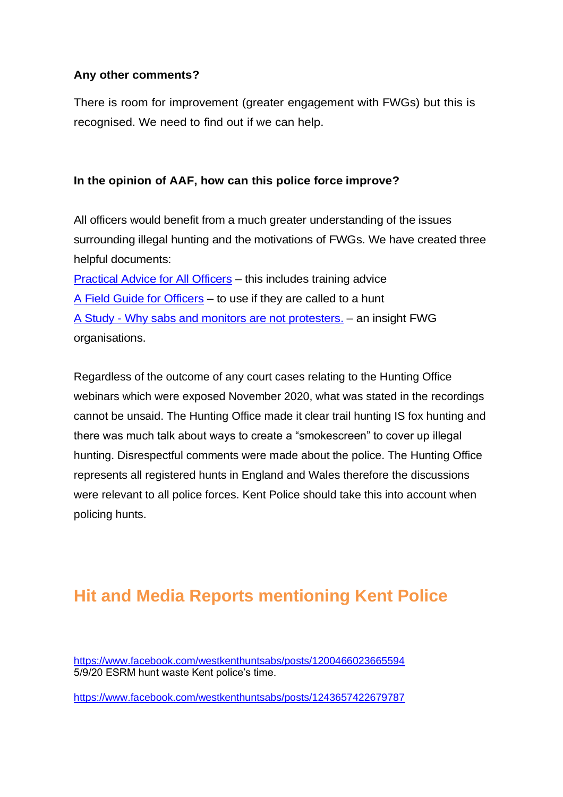# **Any other comments?**

There is room for improvement (greater engagement with FWGs) but this is recognised. We need to find out if we can help.

# **In the opinion of AAF, how can this police force improve?**

All officers would benefit from a much greater understanding of the issues surrounding illegal hunting and the motivations of FWGs. We have created three helpful documents:

[Practical Advice for All Officers](https://www.actionagainstfoxhunting.org/wp-content/uploads/2021/11/B-1411-Practical-Advice-for-all-Police-Forces.pdf) – this includes training advice [A Field Guide for Officers](https://www.actionagainstfoxhunting.org/wp-content/uploads/2021/11/A-1411-FIELD-GUIDE-ILLEGAL-FOXHUNTING.pdf) – to use if they are called to a hunt A Study - [Why sabs and monitors are not protesters.](https://www.actionagainstfoxhunting.org/wp-content/uploads/2021/11/A-1411-Why-sabs-and-monitors-arent-protesters.pdf) – an insight FWG organisations.

Regardless of the outcome of any court cases relating to the Hunting Office webinars which were exposed November 2020, what was stated in the recordings cannot be unsaid. The Hunting Office made it clear trail hunting IS fox hunting and there was much talk about ways to create a "smokescreen" to cover up illegal hunting. Disrespectful comments were made about the police. The Hunting Office represents all registered hunts in England and Wales therefore the discussions were relevant to all police forces. Kent Police should take this into account when policing hunts.

# **Hit and Media Reports mentioning Kent Police**

<https://www.facebook.com/westkenthuntsabs/posts/1200466023665594> 5/9/20 ESRM hunt waste Kent police's time.

<https://www.facebook.com/westkenthuntsabs/posts/1243657422679787>